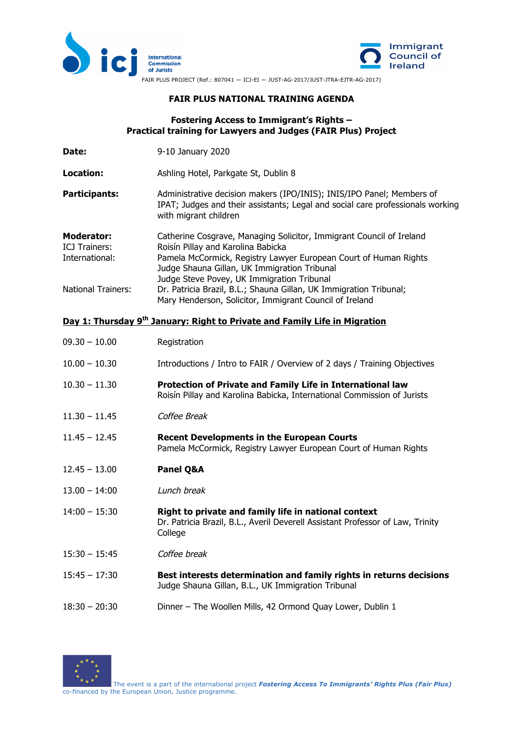



**Commission**<br> **of Jurists**<br>
FAIR PLUS PROJECT (Ref.: 807041 — ICJ-EI — JUST-AG-2017/JUST-JTRA-EJTR-AG-2017)

## **FAIR PLUS NATIONAL TRAINING AGENDA**

## **Fostering Access to Immigrant's Rights – Practical training for Lawyers and Judges (FAIR Plus) Project**

| Date:                                                       | 9-10 January 2020                                                                                                                                                                                                                                                            |
|-------------------------------------------------------------|------------------------------------------------------------------------------------------------------------------------------------------------------------------------------------------------------------------------------------------------------------------------------|
| Location:                                                   | Ashling Hotel, Parkgate St, Dublin 8                                                                                                                                                                                                                                         |
| Participants:                                               | Administrative decision makers (IPO/INIS); INIS/IPO Panel; Members of<br>IPAT; Judges and their assistants; Legal and social care professionals working<br>with migrant children                                                                                             |
| <b>Moderator:</b><br><b>ICJ Trainers:</b><br>International: | Catherine Cosgrave, Managing Solicitor, Immigrant Council of Ireland<br>Roisín Pillay and Karolina Babicka<br>Pamela McCormick, Registry Lawyer European Court of Human Rights<br>Judge Shauna Gillan, UK Immigration Tribunal<br>Judge Steve Povey, UK Immigration Tribunal |
| <b>National Trainers:</b>                                   | Dr. Patricia Brazil, B.L.; Shauna Gillan, UK Immigration Tribunal;<br>Mary Henderson, Solicitor, Immigrant Council of Ireland                                                                                                                                                |

## **Day 1: Thursday 9th January: Right to Private and Family Life in Migration**

| $09.30 - 10.00$ | Registration                                                                                                                                      |
|-----------------|---------------------------------------------------------------------------------------------------------------------------------------------------|
| $10.00 - 10.30$ | Introductions / Intro to FAIR / Overview of 2 days / Training Objectives                                                                          |
| $10.30 - 11.30$ | <b>Protection of Private and Family Life in International law</b><br>Roisín Pillay and Karolina Babicka, International Commission of Jurists      |
| $11.30 - 11.45$ | Coffee Break                                                                                                                                      |
| $11.45 - 12.45$ | <b>Recent Developments in the European Courts</b><br>Pamela McCormick, Registry Lawyer European Court of Human Rights                             |
| $12.45 - 13.00$ | Panel Q&A                                                                                                                                         |
| $13.00 - 14:00$ | Lunch break                                                                                                                                       |
| $14:00 - 15:30$ | Right to private and family life in national context<br>Dr. Patricia Brazil, B.L., Averil Deverell Assistant Professor of Law, Trinity<br>College |
| $15:30 - 15:45$ | Coffee break                                                                                                                                      |
| $15:45 - 17:30$ | Best interests determination and family rights in returns decisions<br>Judge Shauna Gillan, B.L., UK Immigration Tribunal                         |
| $18:30 - 20:30$ | Dinner - The Woollen Mills, 42 Ormond Quay Lower, Dublin 1                                                                                        |